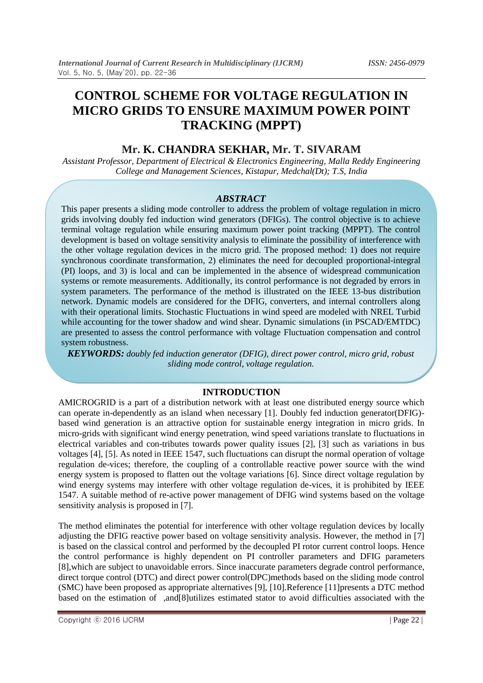# **CONTROL SCHEME FOR VOLTAGE REGULATION IN MICRO GRIDS TO ENSURE MAXIMUM POWER POINT TRACKING (MPPT)**

# **Mr. K. CHANDRA SEKHAR, Mr. T. SIVARAM**

*Assistant Professor, Department of Electrical & Electronics Engineering, Malla Reddy Engineering College and Management Sciences, Kistapur, Medchal(Dt); T.S, India*

# *ABSTRACT*

This paper presents a sliding mode controller to address the problem of voltage regulation in micro grids involving doubly fed induction wind generators (DFIGs). The control objective is to achieve terminal voltage regulation while ensuring maximum power point tracking (MPPT). The control development is based on voltage sensitivity analysis to eliminate the possibility of interference with the other voltage regulation devices in the micro grid. The proposed method: 1) does not require synchronous coordinate transformation, 2) eliminates the need for decoupled proportional-integral (PI) loops, and 3) is local and can be implemented in the absence of widespread communication systems or remote measurements. Additionally, its control performance is not degraded by errors in system parameters. The performance of the method is illustrated on the IEEE 13-bus distribution network. Dynamic models are considered for the DFIG, converters, and internal controllers along with their operational limits. Stochastic Fluctuations in wind speed are modeled with NREL Turbid while accounting for the tower shadow and wind shear. Dynamic simulations (in PSCAD/EMTDC) are presented to assess the control performance with voltage Fluctuation compensation and control system robustness.

*KEYWORDS: doubly fed induction generator (DFIG), direct power control, micro grid, robust sliding mode control, voltage regulation.*

# **INTRODUCTION**

AMICROGRID is a part of a distribution network with at least one distributed energy source which can operate in-dependently as an island when necessary [1]. Doubly fed induction generator(DFIG) based wind generation is an attractive option for sustainable energy integration in micro grids. In micro-grids with significant wind energy penetration, wind speed variations translate to fluctuations in electrical variables and con-tributes towards power quality issues [2], [3] such as variations in bus voltages [4], [5]. As noted in IEEE 1547, such fluctuations can disrupt the normal operation of voltage regulation de-vices; therefore, the coupling of a controllable reactive power source with the wind energy system is proposed to flatten out the voltage variations [6]. Since direct voltage regulation by wind energy systems may interfere with other voltage regulation de-vices, it is prohibited by IEEE 1547. A suitable method of re-active power management of DFIG wind systems based on the voltage sensitivity analysis is proposed in [7].

The method eliminates the potential for interference with other voltage regulation devices by locally adjusting the DFIG reactive power based on voltage sensitivity analysis. However, the method in [7] is based on the classical control and performed by the decoupled PI rotor current control loops. Hence the control performance is highly dependent on PI controller parameters and DFIG parameters [8],which are subject to unavoidable errors. Since inaccurate parameters degrade control performance, direct torque control (DTC) and direct power control(DPC)methods based on the sliding mode control (SMC) have been proposed as appropriate alternatives [9], [10].Reference [11]presents a DTC method based on the estimation of ,and[8]utilizes estimated stator to avoid difficulties associated with the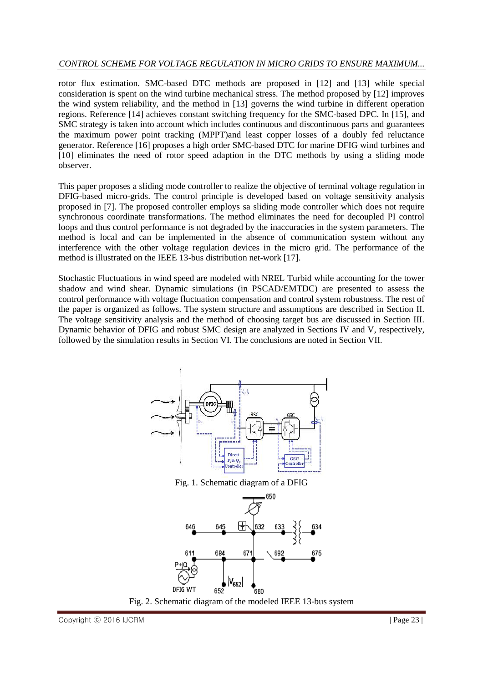# *CONTROL SCHEME FOR VOLTAGE REGULATION IN MICRO GRIDS TO ENSURE MAXIMUM...*

rotor flux estimation. SMC-based DTC methods are proposed in [12] and [13] while special consideration is spent on the wind turbine mechanical stress. The method proposed by [12] improves the wind system reliability, and the method in [13] governs the wind turbine in different operation regions. Reference [14] achieves constant switching frequency for the SMC-based DPC. In [15], and SMC strategy is taken into account which includes continuous and discontinuous parts and guarantees the maximum power point tracking (MPPT)and least copper losses of a doubly fed reluctance generator. Reference [16] proposes a high order SMC-based DTC for marine DFIG wind turbines and [10] eliminates the need of rotor speed adaption in the DTC methods by using a sliding mode observer.

This paper proposes a sliding mode controller to realize the objective of terminal voltage regulation in DFIG-based micro-grids. The control principle is developed based on voltage sensitivity analysis proposed in [7]. The proposed controller employs sa sliding mode controller which does not require synchronous coordinate transformations. The method eliminates the need for decoupled PI control loops and thus control performance is not degraded by the inaccuracies in the system parameters. The method is local and can be implemented in the absence of communication system without any interference with the other voltage regulation devices in the micro grid. The performance of the method is illustrated on the IEEE 13-bus distribution net-work [17].

Stochastic Fluctuations in wind speed are modeled with NREL Turbid while accounting for the tower shadow and wind shear. Dynamic simulations (in PSCAD/EMTDC) are presented to assess the control performance with voltage fluctuation compensation and control system robustness. The rest of the paper is organized as follows. The system structure and assumptions are described in Section II. The voltage sensitivity analysis and the method of choosing target bus are discussed in Section III. Dynamic behavior of DFIG and robust SMC design are analyzed in Sections IV and V, respectively, followed by the simulation results in Section VI. The conclusions are noted in Section VII.



Fig. 1. Schematic diagram of a DFIG



Copyright ⓒ 2016 IJCRM  $\Box$  Page 23 |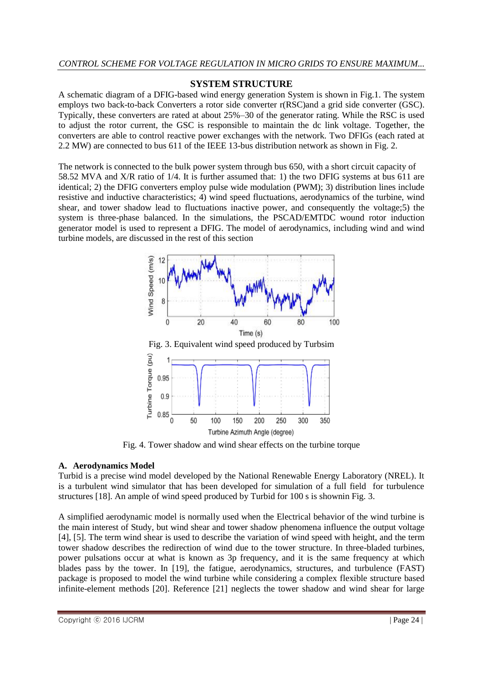# **SYSTEM STRUCTURE**

A schematic diagram of a DFIG-based wind energy generation System is shown in Fig.1. The system employs two back-to-back Converters a rotor side converter r(RSC)and a grid side converter (GSC). Typically, these converters are rated at about 25%–30 of the generator rating. While the RSC is used to adjust the rotor current, the GSC is responsible to maintain the dc link voltage. Together, the converters are able to control reactive power exchanges with the network. Two DFIGs (each rated at 2.2 MW) are connected to bus 611 of the IEEE 13-bus distribution network as shown in Fig. 2.

The network is connected to the bulk power system through bus 650, with a short circuit capacity of 58.52 MVA and X/R ratio of 1/4. It is further assumed that: 1) the two DFIG systems at bus 611 are identical; 2) the DFIG converters employ pulse wide modulation (PWM); 3) distribution lines include resistive and inductive characteristics; 4) wind speed fluctuations, aerodynamics of the turbine, wind shear, and tower shadow lead to fluctuations inactive power, and consequently the voltage;5) the system is three-phase balanced. In the simulations, the PSCAD/EMTDC wound rotor induction generator model is used to represent a DFIG. The model of aerodynamics, including wind and wind turbine models, are discussed in the rest of this section



Fig. 4. Tower shadow and wind shear effects on the turbine torque

# **A. Aerodynamics Model**

Turbid is a precise wind model developed by the National Renewable Energy Laboratory (NREL). It is a turbulent wind simulator that has been developed for simulation of a full field for turbulence structures [18]. An ample of wind speed produced by Turbid for 100 s is shownin Fig. 3.

A simplified aerodynamic model is normally used when the Electrical behavior of the wind turbine is the main interest of Study, but wind shear and tower shadow phenomena influence the output voltage [4], [5]. The term wind shear is used to describe the variation of wind speed with height, and the term tower shadow describes the redirection of wind due to the tower structure. In three-bladed turbines, power pulsations occur at what is known as 3p frequency, and it is the same frequency at which blades pass by the tower. In [19], the fatigue, aerodynamics, structures, and turbulence (FAST) package is proposed to model the wind turbine while considering a complex flexible structure based infinite-element methods [20]. Reference [21] neglects the tower shadow and wind shear for large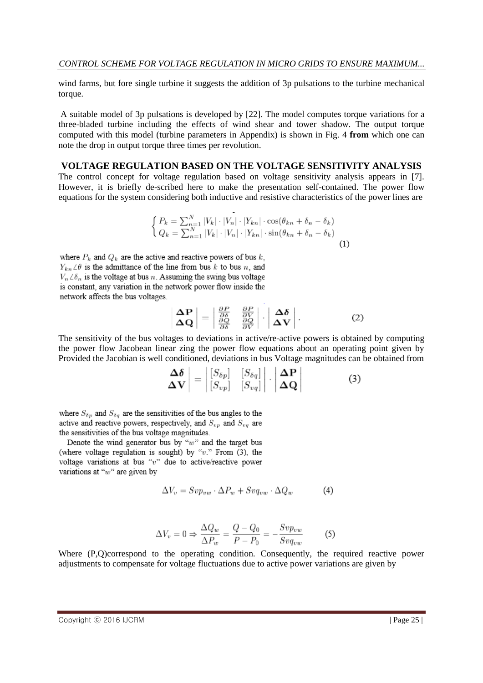wind farms, but fore single turbine it suggests the addition of 3p pulsations to the turbine mechanical torque.

A suitable model of 3p pulsations is developed by [22]. The model computes torque variations for a three-bladed turbine including the effects of wind shear and tower shadow. The output torque computed with this model (turbine parameters in Appendix) is shown in Fig. 4 **from** which one can note the drop in output torque three times per revolution.

## **VOLTAGE REGULATION BASED ON THE VOLTAGE SENSITIVITY ANALYSIS**

The control concept for voltage regulation based on voltage sensitivity analysis appears in [7]. However, it is briefly de-scribed here to make the presentation self-contained. The power flow equations for the system considering both inductive and resistive characteristics of the power lines are

$$
\begin{cases} P_k = \sum_{n=1}^{N} |V_k| \cdot |V_n| \cdot |Y_{kn}| \cdot \cos(\theta_{kn} + \delta_n - \delta_k) \\ Q_k = \sum_{n=1}^{N} |V_k| \cdot |V_n| \cdot |Y_{kn}| \cdot \sin(\theta_{kn} + \delta_n - \delta_k) \end{cases} \tag{1}
$$

 $Y_{kn} \angle \theta$  is the admittance of the line from bus k to bus n, and  $V_n\angle\delta_n$  is the voltage at bus  $n.$  Assuming the swing bus voltage is constant, any variation in the network power flow inside the network affects the bus voltages.

$$
\left| \begin{array}{c} \mathbf{\Delta P} \\ \mathbf{\Delta Q} \end{array} \right| = \left| \begin{array}{cc} \frac{\partial P}{\partial \delta} & \frac{\partial P}{\partial V} \\ \frac{\partial Q}{\partial \delta} & \frac{\partial Q}{\partial V} \end{array} \right| \cdot \left| \begin{array}{c} \mathbf{\Delta \delta} \\ \mathbf{\Delta V} \end{array} \right| \,. \tag{2}
$$

The sensitivity of the bus voltages to deviations in active/re-active powers is obtained by computing the power flow Jacobean linear zing the power flow equations about an operating point given by Provided the Jacobian is well conditioned, deviations in bus Voltage magnitudes can be obtained from

$$
\left|\frac{\Delta\delta}{\Delta V}\right| = \left|\begin{bmatrix} S_{\delta p} & [S_{\delta q}] \\ [S_{vp}] & [S_{vq}] \end{bmatrix}\right| \cdot \left|\frac{\Delta P}{\Delta Q}\right| \tag{3}
$$

where  $S_{\delta n}$  and  $S_{\delta q}$  are the sensitivities of the bus angles to the active and reactive powers, respectively, and  $S_{uu}$  and  $S_{uu}$  are the sensitivities of the bus voltage magnitudes.

Denote the wind generator bus by " $w$ " and the target bus (where voltage regulation is sought) by " $v$ ." From (3), the voltage variations at bus " $v$ " due to active/reactive power variations at " $w$ " are given by

$$
\Delta V_v = Svp_{vw} \cdot \Delta P_w + Svq_{vw} \cdot \Delta Q_w \tag{4}
$$

$$
\Delta V_v = 0 \Rightarrow \frac{\Delta Q_w}{\Delta P_w} = \frac{Q - Q_0}{P - P_0} = -\frac{Sv p_{vw}}{Sv q_{vw}} \tag{5}
$$

Where (P,Q)correspond to the operating condition. Consequently, the required reactive power adjustments to compensate for voltage fluctuations due to active power variations are given by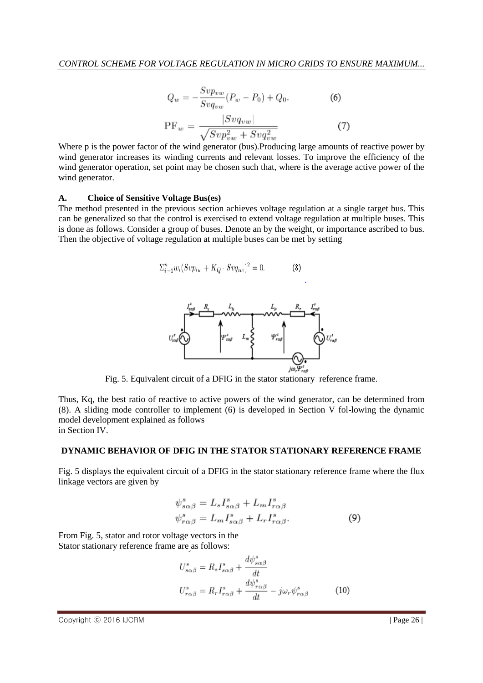$$
Q_w = -\frac{Svp_{vw}}{Svq_{vw}}(P_w - P_0) + Q_0.
$$
\n
$$
|Svq_{vw}|
$$
\n(6)

$$
PF_w = \frac{|S \circ q_{vw}|}{\sqrt{Svp_{vw}^2 + Svq_{vw}^2}}\tag{7}
$$

Where p is the power factor of the wind generator (bus).Producing large amounts of reactive power by wind generator increases its winding currents and relevant losses. To improve the efficiency of the wind generator operation, set point may be chosen such that, where is the average active power of the wind generator.

#### **A. Choice of Sensitive Voltage Bus(es)**

The method presented in the previous section achieves voltage regulation at a single target bus. This can be generalized so that the control is exercised to extend voltage regulation at multiple buses. This is done as follows. Consider a group of buses. Denote an by the weight, or importance ascribed to bus. Then the objective of voltage regulation at multiple buses can be met by setting

$$
\sum_{i=1}^{n} w_i (Svp_{iw} + K_Q \cdot Svq_{iw})^2 = 0. \tag{8}
$$



Fig. 5. Equivalent circuit of a DFIG in the stator stationary reference frame.

Thus, Kq, the best ratio of reactive to active powers of the wind generator, can be determined from (8). A sliding mode controller to implement (6) is developed in Section V fol-lowing the dynamic model development explained as follows in Section IV.

#### **DYNAMIC BEHAVIOR OF DFIG IN THE STATOR STATIONARY REFERENCE FRAME**

Fig. 5 displays the equivalent circuit of a DFIG in the stator stationary reference frame where the flux linkage vectors are given by

$$
\psi_{s\alpha\beta}^{s} = L_s I_{s\alpha\beta}^{s} + L_m I_{r\alpha\beta}^{s}
$$
  

$$
\psi_{r\alpha\beta}^{s} = L_m I_{s\alpha\beta}^{s} + L_r I_{r\alpha\beta}^{s}.
$$
 (9)

From Fig. 5, stator and rotor voltage vectors in the Stator stationary reference frame are as follows:

$$
U_{s\alpha\beta}^{s} = R_{s}I_{s\alpha\beta}^{s} + \frac{d\psi_{s\alpha\beta}^{s}}{dt}
$$

$$
U_{r\alpha\beta}^{s} = R_{r}I_{r\alpha\beta}^{s} + \frac{d\psi_{r\alpha\beta}^{s}}{dt} - j\omega_{r}\psi_{r\alpha\beta}^{s}
$$
(10)

Copyright ⓒ 2016 IJCRM  $\Box$  Page 26 |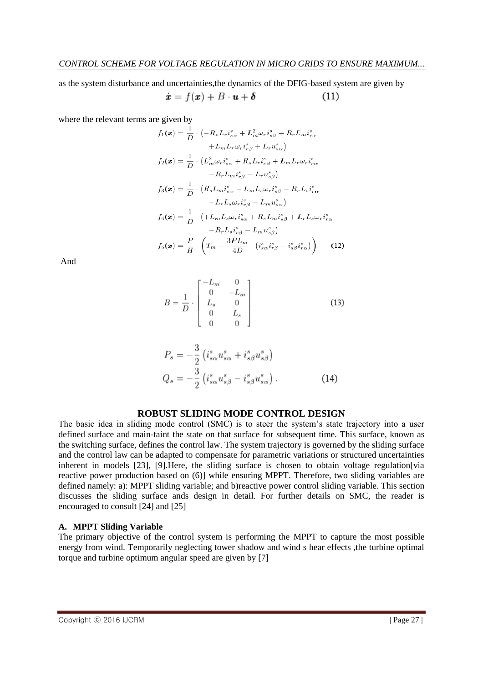as the system disturbance and uncertainties,the dynamics of the DFIG-based system are given by

$$
\dot{x} = f(x) + B \cdot u + \delta \tag{11}
$$

where the relevant terms are given by

$$
f_1(\boldsymbol{x}) = \frac{1}{D} \cdot \left( -R_s L_r i_{s\alpha}^s + L_m^2 \omega_r i_{s\beta}^s + R_r L_m i_{r\alpha}^s + L_m L_r \omega_r i_{r\alpha}^s + L_m L_r \omega_r i_{r\alpha}^s + L_m L_r \omega_r i_{r\alpha}^s \right)
$$
  
\n
$$
f_2(\boldsymbol{x}) = \frac{1}{D} \cdot \left( L_m^2 \omega_r i_{s\alpha}^s + R_s L_r i_{s\beta}^s + L_m L_r \omega_r i_{r\alpha}^s - R_r L_m i_{r\beta}^s - R_r L_u i_{r\beta}^s \right)
$$
  
\n
$$
f_3(\boldsymbol{x}) = \frac{1}{D} \cdot \left( R_s L_m i_{s\alpha}^s - L_m L_s \omega_r i_{s\beta}^s - R_r L_s i_{r\alpha}^s - L_m L_s \omega_r i_{r\beta}^s - L_m u_{s\alpha}^s \right)
$$
  
\n
$$
f_4(\boldsymbol{x}) = \frac{1}{D} \cdot \left( +L_m L_s \omega_r i_{s\alpha}^s + R_s L_m i_{s\beta}^s + L_r L_s \omega_r i_{r\alpha}^s - R_r L_s i_{r\beta}^s - L_m u_{s\beta}^s \right)
$$
  
\n
$$
f_5(\boldsymbol{x}) = \frac{P}{H} \cdot \left( T_m - \frac{3PL_m}{4D} \cdot \left( i_{s\alpha}^s i_{r\beta}^s - i_{s\beta}^s i_{r\alpha}^s \right) \right) \tag{12}
$$

And

$$
B = \frac{1}{D} \cdot \begin{bmatrix} -L_m & 0\\ 0 & -L_m\\ L_s & 0\\ 0 & L_s\\ 0 & 0 \end{bmatrix}
$$
 (13)

$$
P_s = -\frac{3}{2} \left( i_{s\alpha}^s u_{s\alpha}^s + i_{s\beta}^s u_{s\beta}^s \right)
$$
  

$$
Q_s = -\frac{3}{2} \left( i_{s\alpha}^s u_{s\beta}^s - i_{s\beta}^s u_{s\alpha}^s \right).
$$
 (14)

# **ROBUST SLIDING MODE CONTROL DESIGN**

The basic idea in sliding mode control (SMC) is to steer the system's state trajectory into a user defined surface and main-taint the state on that surface for subsequent time. This surface, known as the switching surface, defines the control law. The system trajectory is governed by the sliding surface and the control law can be adapted to compensate for parametric variations or structured uncertainties inherent in models [23], [9].Here, the sliding surface is chosen to obtain voltage regulation[via reactive power production based on (6)] while ensuring MPPT. Therefore, two sliding variables are defined namely: a): MPPT sliding variable; and b)reactive power control sliding variable. This section discusses the sliding surface ands design in detail. For further details on SMC, the reader is encouraged to consult [24] and [25]

#### **A. MPPT Sliding Variable**

The primary objective of the control system is performing the MPPT to capture the most possible energy from wind. Temporarily neglecting tower shadow and wind s hear effects ,the turbine optimal torque and turbine optimum angular speed are given by [7]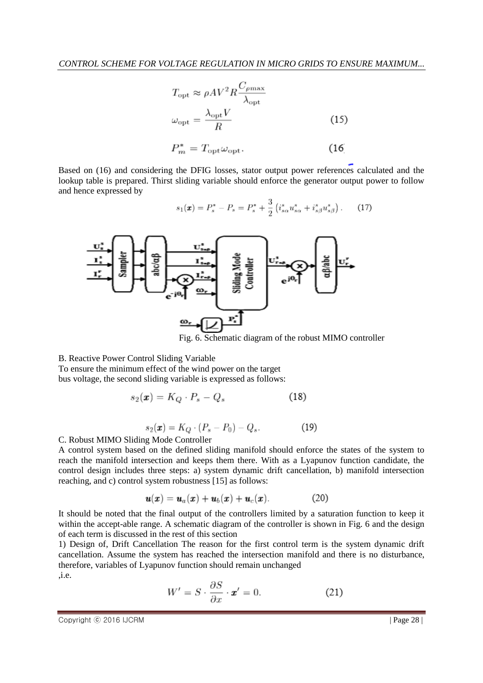$$
T_{\text{opt}} \approx \rho A V^2 R \frac{C_{\rho \text{max}}}{\lambda_{\text{opt}}} \n\omega_{\text{opt}} = \frac{\lambda_{\text{opt}} V}{R} \nP_m^* = T_{\text{opt}} \omega_{\text{opt}}.
$$
\n(15)

Based on (16) and considering the DFIG losses, stator output power references calculated and the lookup table is prepared. Thirst sliding variable should enforce the generator output power to follow and hence expressed by

$$
s_1(\mathbf{x}) = P_s^* - P_s = P_s^* + \frac{3}{2} \left( i_{s\alpha}^s u_{s\alpha}^s + i_{s\beta}^s u_{s\beta}^s \right). \tag{17}
$$



Fig. 6. Schematic diagram of the robust MIMO controller

B. Reactive Power Control Sliding Variable

To ensure the minimum effect of the wind power on the target bus voltage, the second sliding variable is expressed as follows:

$$
s_2(\mathbf{x}) = K_Q \cdot P_s - Q_s \tag{18}
$$

$$
s_2(\boldsymbol{x}) = K_Q \cdot (P_s - P_0) - Q_s. \tag{19}
$$

#### C. Robust MIMO Sliding Mode Controller

A control system based on the defined sliding manifold should enforce the states of the system to reach the manifold intersection and keeps them there. With as a Lyapunov function candidate, the control design includes three steps: a) system dynamic drift cancellation, b) manifold intersection reaching, and c) control system robustness [15] as follows:

$$
\mathbf{u}(\mathbf{x}) = \mathbf{u}_a(\mathbf{x}) + \mathbf{u}_b(\mathbf{x}) + \mathbf{u}_c(\mathbf{x}). \tag{20}
$$

It should be noted that the final output of the controllers limited by a saturation function to keep it within the accept-able range. A schematic diagram of the controller is shown in Fig. 6 and the design of each term is discussed in the rest of this section

1) Design of, Drift Cancellation The reason for the first control term is the system dynamic drift cancellation. Assume the system has reached the intersection manifold and there is no disturbance, therefore, variables of Lyapunov function should remain unchanged ,i.e.

$$
W' = S \cdot \frac{\partial S}{\partial x} \cdot \mathbf{x}' = 0. \tag{21}
$$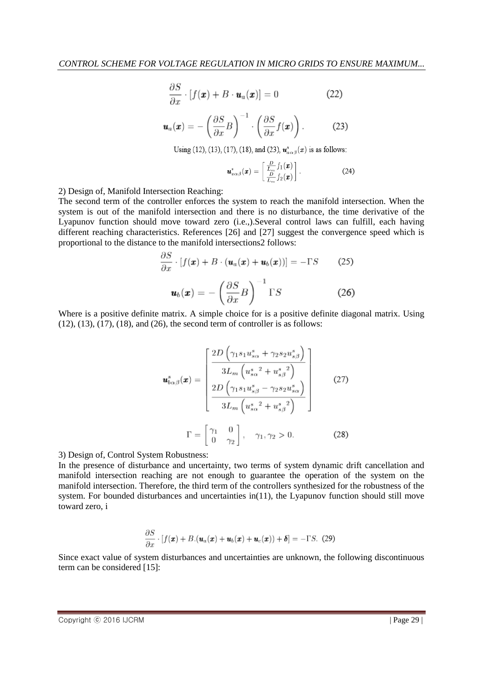$$
\frac{\partial S}{\partial x} \cdot [f(\boldsymbol{x}) + B \cdot \boldsymbol{u}_a(\boldsymbol{x})] = 0 \tag{22}
$$

$$
\boldsymbol{u}_a(\boldsymbol{x}) = -\left(\frac{\partial S}{\partial x}B\right)^{-1} \cdot \left(\frac{\partial S}{\partial x}f(\boldsymbol{x})\right). \tag{23}
$$

Using (12), (13), (17), (18), and (23),  $u_{a}^{s}(\bm{x})$  is as follows:

$$
\boldsymbol{u}_{a\alpha\beta}^s(\boldsymbol{x}) = \begin{bmatrix} \frac{D}{L_m} f_1(\boldsymbol{x}) \\ \frac{D}{L_m} f_2(\boldsymbol{x}) \end{bmatrix} . \tag{24}
$$

2) Design of, Manifold Intersection Reaching:

The second term of the controller enforces the system to reach the manifold intersection. When the system is out of the manifold intersection and there is no disturbance, the time derivative of the Lyapunov function should move toward zero (i.e.,).Several control laws can fulfill, each having different reaching characteristics. References [26] and [27] suggest the convergence speed which is proportional to the distance to the manifold intersections2 follows:

$$
\frac{\partial S}{\partial x} \cdot [f(\boldsymbol{x}) + B \cdot (\boldsymbol{u}_a(\boldsymbol{x}) + \boldsymbol{u}_b(\boldsymbol{x}))] = -\Gamma S \qquad (25)
$$

$$
\boldsymbol{u}_b(\boldsymbol{x}) = -\left(\frac{\partial S}{\partial x}B\right)^{-1} \Gamma S \qquad (26)
$$

Where is a positive definite matrix. A simple choice for is a positive definite diagonal matrix. Using  $(12)$ ,  $(13)$ ,  $(17)$ ,  $(18)$ , and  $(26)$ , the second term of controller is as follows:

$$
\mathbf{u}_{b\alpha\beta}^{s}(\mathbf{x}) = \begin{bmatrix} \frac{2D\left(\gamma_{1}s_{1}u_{s\alpha}^{s} + \gamma_{2}s_{2}u_{s\beta}^{s}\right)}{3L_{m}\left(u_{s\alpha}^{s}^{2} + u_{s\beta}^{s}^{2}\right)}\\ \frac{2D\left(\gamma_{1}s_{1}u_{s\beta}^{s} - \gamma_{2}s_{2}u_{s\alpha}^{s}\right)}{3L_{m}\left(u_{s\alpha}^{s}^{2} + u_{s\beta}^{s}^{2}\right)} \end{bmatrix}
$$
(27)  

$$
\Gamma = \begin{bmatrix} \gamma_{1} & 0\\ 0 & \gamma_{2} \end{bmatrix}, \quad \gamma_{1}, \gamma_{2} > 0.
$$
 (28)

3) Design of, Control System Robustness:

In the presence of disturbance and uncertainty, two terms of system dynamic drift cancellation and manifold intersection reaching are not enough to guarantee the operation of the system on the manifold intersection. Therefore, the third term of the controllers synthesized for the robustness of the system. For bounded disturbances and uncertainties in(11), the Lyapunov function should still move toward zero, i

$$
\frac{\partial S}{\partial x} \cdot [f(\boldsymbol{x}) + B \cdot (\boldsymbol{u}_a(\boldsymbol{x}) + \boldsymbol{u}_b(\boldsymbol{x}) + \boldsymbol{u}_c(\boldsymbol{x})) + \boldsymbol{\delta}] = -\Gamma S. \tag{29}
$$

Since exact value of system disturbances and uncertainties are unknown, the following discontinuous term can be considered [15]: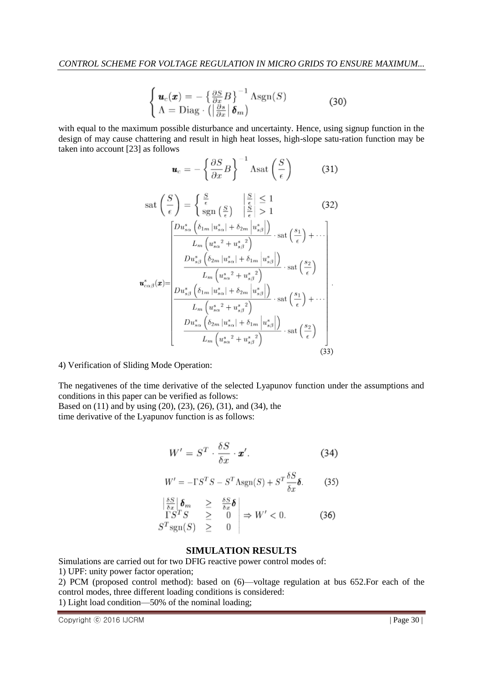$$
\begin{cases}\n\boldsymbol{u}_c(\boldsymbol{x}) = -\left\{\frac{\partial S}{\partial x}B\right\}^{-1} \text{Asgn}(S) \\
\Lambda = \text{Diag} \cdot \left(\left|\frac{\partial s}{\partial x}\right| \boldsymbol{\delta}_m\right)\n\end{cases} \n\tag{30}
$$

with equal to the maximum possible disturbance and uncertainty. Hence, using signup function in the design of may cause chattering and result in high heat losses, high-slope satu-ration function may be taken into account [23] as follows

$$
\boldsymbol{u}_c = -\left\{\frac{\partial S}{\partial x}B\right\}^{-1} \text{Asat}\left(\frac{S}{\epsilon}\right) \tag{31}
$$

$$
\operatorname{sat}\left(\frac{S}{\epsilon}\right) = \begin{cases} \frac{S}{\epsilon} & \left|\frac{S}{\epsilon}\right| \leq 1\\ \operatorname{sgn}\left(\frac{S}{\epsilon}\right) & \left|\frac{S}{\epsilon}\right| > 1 \end{cases} \qquad (32)
$$
\n
$$
\left[\frac{Du_{s\alpha}^s\left(\delta_{1m}|u_{s\alpha}^s| + \delta_{2m}|u_{s\beta}^s|\right)}{L_m\left(u_{s\alpha}^s{}^2 + u_{s\beta}^s{}^2\right)} \cdot \operatorname{sat}\left(\frac{s_1}{\epsilon}\right) + \cdots\right]
$$
\n
$$
u_{c\alpha\beta}^s(x) = \frac{Du_{s\beta}^s\left(\delta_{2m}|u_{s\alpha}^s| + \delta_{1m}|u_{s\beta}^s|\right)}{L_m\left(u_{s\alpha}^s{}^2 + u_{s\beta}^s{}^2\right)} \cdot \operatorname{sat}\left(\frac{s_2}{\epsilon}\right)
$$
\n
$$
L_m\left(u_{s\alpha}^s{}^2 + u_{s\beta}^s{}^2\right) \qquad \operatorname{sat}\left(\frac{s_1}{\epsilon}\right) + \cdots
$$
\n
$$
L_m\left(u_{s\alpha}^s{}^2 + u_{s\beta}^s{}^2\right) \qquad \operatorname{sat}\left(\frac{s_2}{\epsilon}\right)
$$
\n
$$
\frac{Du_{s\alpha}^s\left(\delta_{2m}|u_{s\alpha}^s| + \delta_{1m}|u_{s\beta}^s|\right)}{L_m\left(u_{s\alpha}^s{}^2 + u_{s\beta}^s{}^2\right)} \cdot \operatorname{sat}\left(\frac{s_2}{\epsilon}\right) \qquad (33)
$$

4) Verification of Sliding Mode Operation:

The negativenes of the time derivative of the selected Lyapunov function under the assumptions and conditions in this paper can be verified as follows: Based on (11) and by using (20), (23), (26), (31), and (34), the

time derivative of the Lyapunov function is as follows:

$$
W' = S^T \cdot \frac{\delta S}{\delta x} \cdot \mathbf{x}'. \tag{34}
$$

$$
W' = -\Gamma S^T S - S^T \Lambda \text{sgn}(S) + S^T \frac{\delta S}{\delta x} \delta. \tag{35}
$$

$$
\begin{array}{rcl}\n\left|\frac{\delta S}{\delta x}\right|\delta_{m} & \geq & \frac{\delta S}{\delta x}\delta \\
\Gamma S^{T}S & \geq & 0 \\
S^{T}\text{sgn}(S) & \geq & 0\n\end{array}\right| \Rightarrow W' < 0.\n\tag{36}
$$

#### **SIMULATION RESULTS**

Simulations are carried out for two DFIG reactive power control modes of:

1) UPF: unity power factor operation;

2) PCM (proposed control method): based on (6)—voltage regulation at bus 652.For each of the control modes, three different loading conditions is considered:

1) Light load condition—50% of the nominal loading;

Copyright © 2016 IJCRM | Page 30 |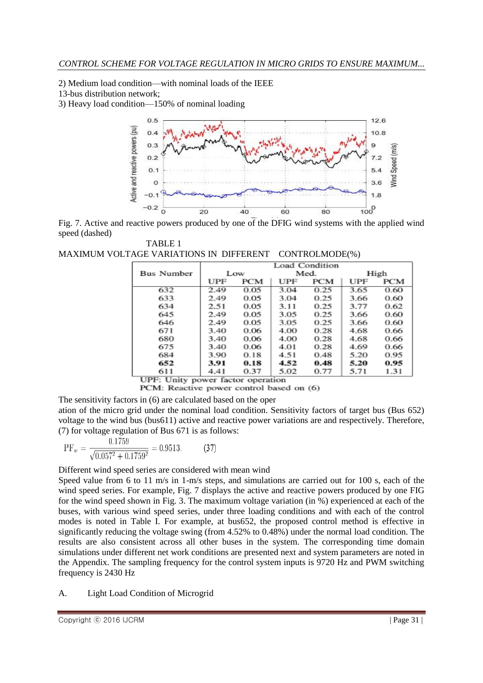2) Medium load condition—with nominal loads of the IEEE

13-bus distribution network;

3) Heavy load condition—150% of nominal loading



Fig. 7. Active and reactive powers produced by one of the DFIG wind systems with the applied wind speed (dashed)

TABLE 1 MAXIMUM VOLTAGE VARIATIONS IN DIFFERENT CONTROLMODE(%)

|                   | Load Condition |            |      |      |      |            |  |
|-------------------|----------------|------------|------|------|------|------------|--|
| <b>Bus Number</b> | Low            |            | Med. |      | High |            |  |
|                   | UPF            | <b>PCM</b> | UPF  | PCM  | UPF  | <b>PCM</b> |  |
| 632               | 2.49           | 0.05       | 3.04 | 0.25 | 3.65 | 0.60       |  |
| 633               | 2.49           | 0.05       | 3.04 | 0.25 | 3.66 | 0.60       |  |
| 634               | 2.51           | 0.05       | 3.11 | 0.25 | 3.77 | 0.62       |  |
| 645               | 2.49           | 0.05       | 3.05 | 0.25 | 3.66 | 0.60       |  |
| 646               | 2.49           | 0.05       | 3.05 | 0.25 | 3.66 | 0.60       |  |
| 671               | 3.40           | 0.06       | 4.00 | 0.28 | 4.68 | 0.66       |  |
| 680               | 3.40           | 0.06       | 4.00 | 0.28 | 4.68 | 0.66       |  |
| 675               | 3.40           | 0.06       | 4.01 | 0.28 | 4.69 | 0.66       |  |
| 684               | 3.90           | 0.18       | 4.51 | 0.48 | 5.20 | 0.95       |  |
| 652               | 3.91           | 0.18       | 4.52 | 0.48 | 5.20 | 0.95       |  |
| 611               | 4.41           | 0.37       | 5.02 | 0.77 | 5.71 | 1.31       |  |

UPF: Unity power factor operation

PCM: Reactive power control based on (6)

The sensitivity factors in (6) are calculated based on the oper

ation of the micro grid under the nominal load condition. Sensitivity factors of target bus (Bus 652) voltage to the wind bus (bus611) active and reactive power variations are and respectively. Therefore, (7) for voltage regulation of Bus 671 is as follows:

$$
PF_w = \frac{0.1759}{\sqrt{0.057^2 + 0.1759^2}} = 0.9513. \tag{37}
$$

Different wind speed series are considered with mean wind

Speed value from 6 to 11 m/s in 1-m/s steps, and simulations are carried out for 100 s, each of the wind speed series. For example, Fig. 7 displays the active and reactive powers produced by one FIG for the wind speed shown in Fig. 3. The maximum voltage variation (in %) experienced at each of the buses, with various wind speed series, under three loading conditions and with each of the control modes is noted in Table I. For example, at bus652, the proposed control method is effective in significantly reducing the voltage swing (from 4.52% to 0.48%) under the normal load condition. The results are also consistent across all other buses in the system. The corresponding time domain simulations under different net work conditions are presented next and system parameters are noted in the Appendix. The sampling frequency for the control system inputs is 9720 Hz and PWM switching frequency is 2430 Hz

# A. Light Load Condition of Microgrid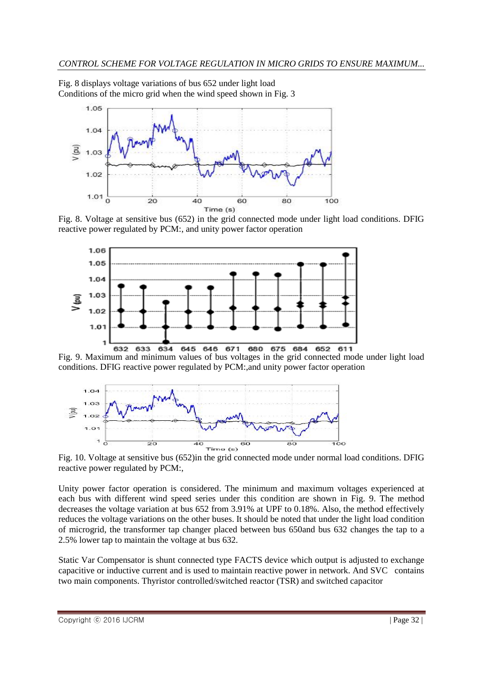Fig. 8 displays voltage variations of bus 652 under light load Conditions of the micro grid when the wind speed shown in Fig. 3



Fig. 8. Voltage at sensitive bus (652) in the grid connected mode under light load conditions. DFIG reactive power regulated by PCM:, and unity power factor operation



Fig. 9. Maximum and minimum values of bus voltages in the grid connected mode under light load conditions. DFIG reactive power regulated by PCM:,and unity power factor operation



Fig. 10. Voltage at sensitive bus (652)in the grid connected mode under normal load conditions. DFIG reactive power regulated by PCM:,

Unity power factor operation is considered. The minimum and maximum voltages experienced at each bus with different wind speed series under this condition are shown in Fig. 9. The method decreases the voltage variation at bus 652 from 3.91% at UPF to 0.18%. Also, the method effectively reduces the voltage variations on the other buses. It should be noted that under the light load condition of microgrid, the transformer tap changer placed between bus 650and bus 632 changes the tap to a 2.5% lower tap to maintain the voltage at bus 632.

Static Var Compensator is shunt connected type FACTS device which output is adjusted to exchange capacitive or inductive current and is used to maintain reactive power in network. And SVC contains two main components. Thyristor controlled/switched reactor (TSR) and switched capacitor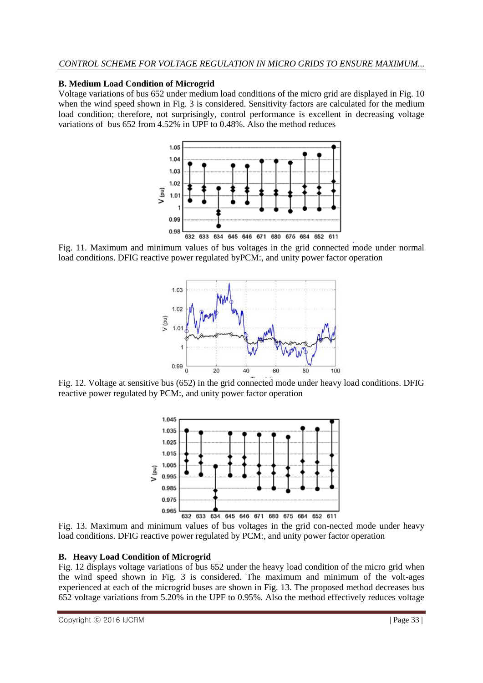# **B. Medium Load Condition of Microgrid**

Voltage variations of bus 652 under medium load conditions of the micro grid are displayed in Fig. 10 when the wind speed shown in Fig. 3 is considered. Sensitivity factors are calculated for the medium load condition; therefore, not surprisingly, control performance is excellent in decreasing voltage variations of bus 652 from 4.52% in UPF to 0.48%. Also the method reduces



Fig. 11. Maximum and minimum values of bus voltages in the grid connected mode under normal load conditions. DFIG reactive power regulated byPCM:, and unity power factor operation



Fig. 12. Voltage at sensitive bus (652) in the grid connected mode under heavy load conditions. DFIG reactive power regulated by PCM:, and unity power factor operation



Fig. 13. Maximum and minimum values of bus voltages in the grid con-nected mode under heavy load conditions. DFIG reactive power regulated by PCM:, and unity power factor operation

### **B. Heavy Load Condition of Microgrid**

Fig. 12 displays voltage variations of bus 652 under the heavy load condition of the micro grid when the wind speed shown in Fig. 3 is considered. The maximum and minimum of the volt-ages experienced at each of the microgrid buses are shown in Fig. 13. The proposed method decreases bus 652 voltage variations from 5.20% in the UPF to 0.95%. Also the method effectively reduces voltage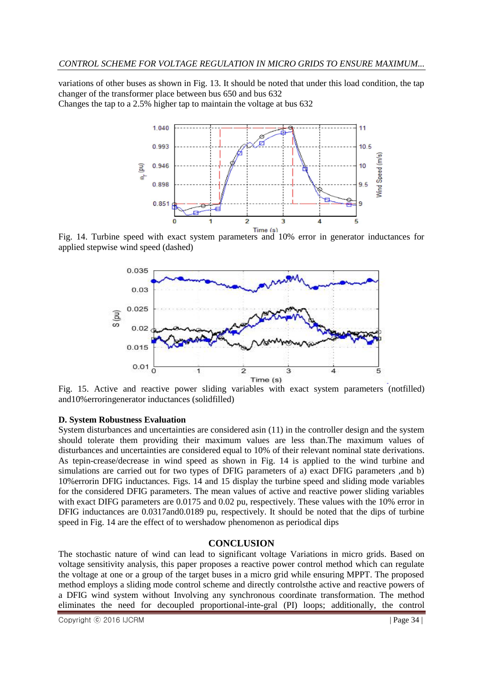variations of other buses as shown in Fig. 13. It should be noted that under this load condition, the tap changer of the transformer place between bus 650 and bus 632 Changes the tap to a 2.5% higher tap to maintain the voltage at bus 632



Fig. 14. Turbine speed with exact system parameters and 10% error in generator inductances for applied stepwise wind speed (dashed)



Fig. 15. Active and reactive power sliding variables with exact system parameters (notfilled) and10%erroringenerator inductances (solidfilled)

# **D. System Robustness Evaluation**

System disturbances and uncertainties are considered asin (11) in the controller design and the system should tolerate them providing their maximum values are less than.The maximum values of disturbances and uncertainties are considered equal to 10% of their relevant nominal state derivations. As tepin-crease/decrease in wind speed as shown in Fig. 14 is applied to the wind turbine and simulations are carried out for two types of DFIG parameters of a) exact DFIG parameters ,and b) 10%errorin DFIG inductances. Figs. 14 and 15 display the turbine speed and sliding mode variables for the considered DFIG parameters. The mean values of active and reactive power sliding variables with exact DIFG parameters are 0.0175 and 0.02 pu, respectively. These values with the 10% error in DFIG inductances are 0.0317and0.0189 pu, respectively. It should be noted that the dips of turbine speed in Fig. 14 are the effect of to wershadow phenomenon as periodical dips

# **CONCLUSION**

The stochastic nature of wind can lead to significant voltage Variations in micro grids. Based on voltage sensitivity analysis, this paper proposes a reactive power control method which can regulate the voltage at one or a group of the target buses in a micro grid while ensuring MPPT. The proposed method employs a sliding mode control scheme and directly controlsthe active and reactive powers of a DFIG wind system without Involving any synchronous coordinate transformation. The method eliminates the need for decoupled proportional-inte-gral (PI) loops; additionally, the control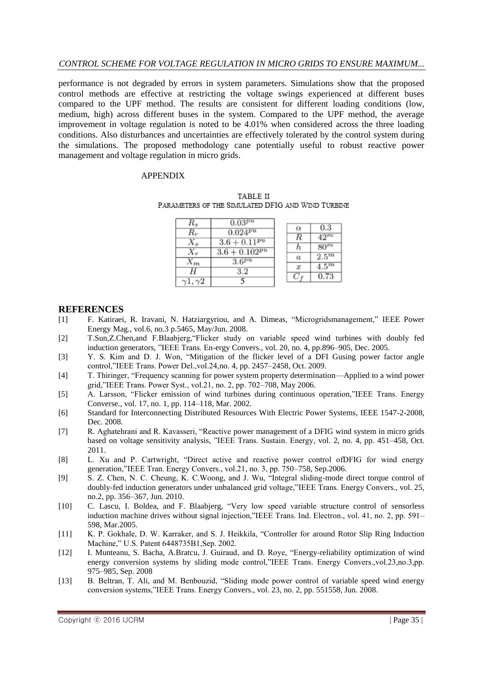## *CONTROL SCHEME FOR VOLTAGE REGULATION IN MICRO GRIDS TO ENSURE MAXIMUM...*

performance is not degraded by errors in system parameters. Simulations show that the proposed control methods are effective at restricting the voltage swings experienced at different buses compared to the UPF method. The results are consistent for different loading conditions (low, medium, high) across different buses in the system. Compared to the UPF method, the average improvement in voltage regulation is noted to be 4.01% when considered across the three loading conditions. Also disturbances and uncertainties are effectively tolerated by the control system during the simulations. The proposed methodology cane potentially useful to robust reactive power management and voltage regulation in micro grids.

#### APPENDIX

| TABLE II                                          |  |
|---------------------------------------------------|--|
| PARAMETERS OF THE SIMULATED DFIG AND WIND TURBINE |  |

|       | $0.03^{pu}$        |                  |         |
|-------|--------------------|------------------|---------|
| R,    | $0.024^{pu}$       | $\alpha$         | 0.3     |
|       |                    | R                | $42^m$  |
| $X_s$ | $3.6 + 0.11^{pu}$  | h                | $80^m$  |
|       | $3.6 + 0.102^{pu}$ | $\boldsymbol{a}$ | $2.5^m$ |
| $n_m$ | $3.6^{pu}$         |                  |         |
|       | 3.2                | $\boldsymbol{x}$ | $4.5^m$ |
|       |                    |                  | 0.73    |
|       |                    |                  |         |

# **REFERENCES**

- [1] F. Katiraei, R. Iravani, N. Hatziargyriou, and A. Dimeas, "Microgridsmanagement," IEEE Power Energy Mag., vol.6, no.3 p.5465, May/Jun. 2008.
- [2] T.Sun,Z.Chen,and F.Blaabjerg, "Flicker study on variable speed wind turbines with doubly fed induction generators, "IEEE Trans. En-ergy Convers., vol. 20, no. 4, pp.896–905, Dec. 2005.
- [3] Y. S. Kim and D. J. Won, "Mitigation of the flicker level of a DFI Gusing power factor angle control,"IEEE Trans. Power Del., vol.24, no. 4, pp. 2457–2458, Oct. 2009.
- [4] T. Thiringer, "Frequency scanning for power system property determination—Applied to a wind power grid,"IEEE Trans. Power Syst., vol.21, no. 2, pp. 702-708, May 2006.
- [5] A. Larsson, "Flicker emission of wind turbines during continuous operation,"IEEE Trans. Energy Converse., vol. 17, no. 1, pp. 114–118, Mar. 2002.
- [6] Standard for Interconnecting Distributed Resources With Electric Power Systems, IEEE 1547-2-2008, Dec. 2008.
- [7] R. Aghatehrani and R. Kavasseri, "Reactive power management of a DFIG wind system in micro grids based on voltage sensitivity analysis, "IEEE Trans. Sustain. Energy, vol. 2, no. 4, pp. 451–458, Oct. 2011.
- [8] L. Xu and P. Cartwright, "Direct active and reactive power control ofDFIG for wind energy generation,"IEEE Tran. Energy Convers., vol.21, no. 3, pp. 750–758, Sep.2006.
- [9] S. Z. Chen, N. C. Cheung, K. C. Woong, and J. Wu, "Integral sliding-mode direct torque control of doubly-fed induction generators under unbalanced grid voltage, "IEEE Trans. Energy Convers., vol. 25, no.2, pp. 356–367, Jun. 2010.
- [10] C. Lascu, I. Boldea, and F. Blaabjerg, "Very low speed variable structure control of sensorless induction machine drives without signal injection,"IEEE Trans. Ind. Electron., vol. 41, no. 2, pp. 591– 598, Mar.2005.
- [11] K. P. Gokhale, D. W. Karraker, and S. J. Heikkila, "Controller for around Rotor Slip Ring Induction Machine," U.S. Patent 6448735B1, Sep. 2002.
- [12] I. Munteanu, S. Bacha, A.Bratcu, J. Guiraud, and D. Roye, "Energy-reliability optimization of wind energy conversion systems by sliding mode control,"IEEE Trans. Energy Convers.,vol.23,no.3,pp. 975–985, Sep. 2008
- [13] B. Beltran, T. Ali, and M. Benbouzid, "Sliding mode power control of variable speed wind energy conversion systems,"IEEE Trans. Energy Convers., vol. 23, no. 2, pp. 551558, Jun. 2008.